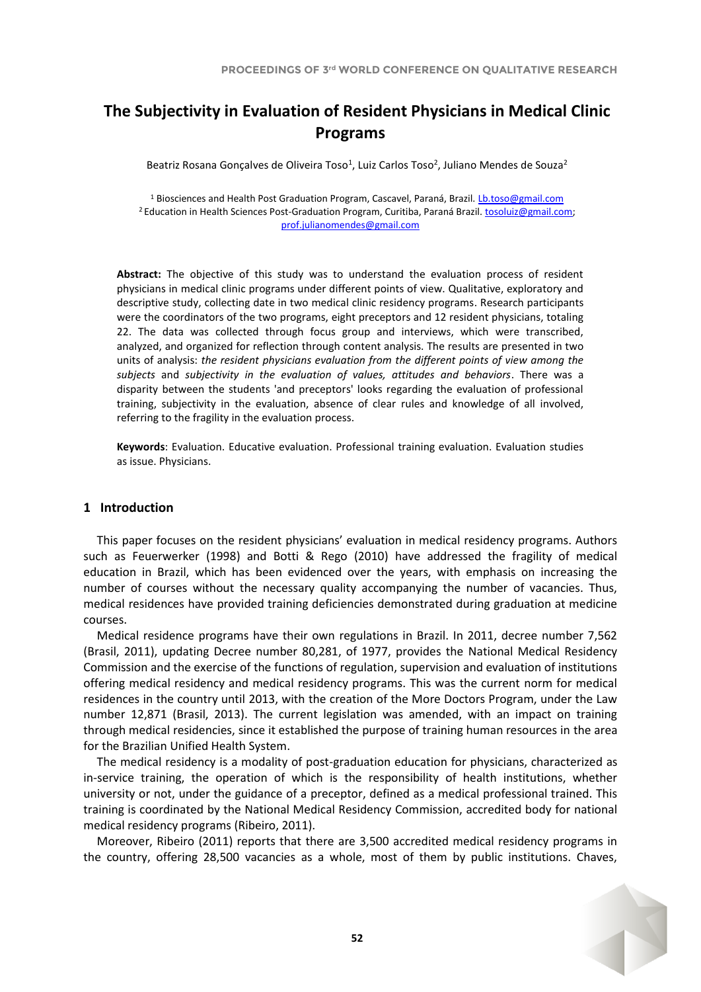# **The Subjectivity in Evaluation of Resident Physicians in Medical Clinic Programs**

Beatriz Rosana Gonçalves de Oliveira Toso<sup>1</sup>, Luiz Carlos Toso<sup>2</sup>, Juliano Mendes de Souza<sup>2</sup>

<sup>1</sup> Biosciences and Health Post Graduation Program, Cascavel, Paraná, Brazil. [Lb.toso@gmail.com](mailto:Lb.toso@gmail.com) <sup>2</sup> Education in Health Sciences Post-Graduation Program, Curitiba, Paraná Brazil. tosoluiz@gmail.com; [prof.julianomendes@gmail.com](mailto:prof.julianomendes@gmail.com)

**Abstract:** The objective of this study was to understand the evaluation process of resident physicians in medical clinic programs under different points of view. Qualitative, exploratory and descriptive study, collecting date in two medical clinic residency programs. Research participants were the coordinators of the two programs, eight preceptors and 12 resident physicians, totaling 22. The data was collected through focus group and interviews, which were transcribed, analyzed, and organized for reflection through content analysis. The results are presented in two units of analysis: *the resident physicians evaluation from the different points of view among the subjects* and *subjectivity in the evaluation of values, attitudes and behaviors*. There was a disparity between the students 'and preceptors' looks regarding the evaluation of professional training, subjectivity in the evaluation, absence of clear rules and knowledge of all involved, referring to the fragility in the evaluation process.

**Keywords**: Evaluation. Educative evaluation. Professional training evaluation. Evaluation studies as issue. Physicians.

# **1 Introduction**

This paper focuses on the resident physicians' evaluation in medical residency programs. Authors such as Feuerwerker (1998) and Botti & Rego (2010) have addressed the fragility of medical education in Brazil, which has been evidenced over the years, with emphasis on increasing the number of courses without the necessary quality accompanying the number of vacancies. Thus, medical residences have provided training deficiencies demonstrated during graduation at medicine courses.

Medical residence programs have their own regulations in Brazil. In 2011, decree number 7,562 (Brasil, 2011), updating Decree number 80,281, of 1977, provides the National Medical Residency Commission and the exercise of the functions of regulation, supervision and evaluation of institutions offering medical residency and medical residency programs. This was the current norm for medical residences in the country until 2013, with the creation of the More Doctors Program, under the Law number 12,871 (Brasil, 2013). The current legislation was amended, with an impact on training through medical residencies, since it established the purpose of training human resources in the area for the Brazilian Unified Health System.

The medical residency is a modality of post-graduation education for physicians, characterized as in-service training, the operation of which is the responsibility of health institutions, whether university or not, under the guidance of a preceptor, defined as a medical professional trained. This training is coordinated by the National Medical Residency Commission, accredited body for national medical residency programs (Ribeiro, 2011).

Moreover, Ribeiro (2011) reports that there are 3,500 accredited medical residency programs in the country, offering 28,500 vacancies as a whole, most of them by public institutions. Chaves,

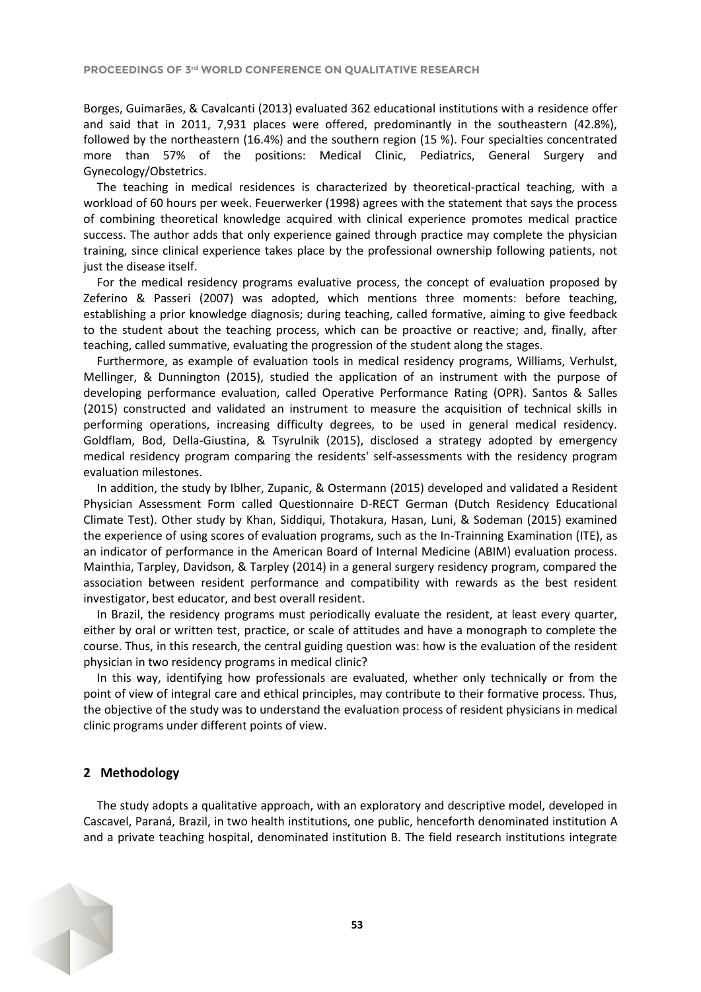Borges, Guimarães, & Cavalcanti (2013) evaluated 362 educational institutions with a residence offer and said that in 2011, 7,931 places were offered, predominantly in the southeastern (42.8%), followed by the northeastern (16.4%) and the southern region (15 %). Four specialties concentrated more than 57% of the positions: Medical Clinic, Pediatrics, General Surgery and Gynecology/Obstetrics.

The teaching in medical residences is characterized by theoretical-practical teaching, with a workload of 60 hours per week. Feuerwerker (1998) agrees with the statement that says the process of combining theoretical knowledge acquired with clinical experience promotes medical practice success. The author adds that only experience gained through practice may complete the physician training, since clinical experience takes place by the professional ownership following patients, not just the disease itself.

For the medical residency programs evaluative process, the concept of evaluation proposed by Zeferino & Passeri (2007) was adopted, which mentions three moments: before teaching, establishing a prior knowledge diagnosis; during teaching, called formative, aiming to give feedback to the student about the teaching process, which can be proactive or reactive; and, finally, after teaching, called summative, evaluating the progression of the student along the stages.

Furthermore, as example of evaluation tools in medical residency programs, Williams, Verhulst, Mellinger, & Dunnington (2015), studied the application of an instrument with the purpose of developing performance evaluation, called Operative Performance Rating (OPR). Santos & Salles (2015) constructed and validated an instrument to measure the acquisition of technical skills in performing operations, increasing difficulty degrees, to be used in general medical residency. Goldflam, Bod, Della-Giustina, & Tsyrulnik (2015), disclosed a strategy adopted by emergency medical residency program comparing the residents' self-assessments with the residency program evaluation milestones.

In addition, the study by Iblher, Zupanic, & Ostermann (2015) developed and validated a Resident Physician Assessment Form called Questionnaire D-RECT German (Dutch Residency Educational Climate Test). Other study by Khan, Siddiqui, Thotakura, Hasan, Luni, & Sodeman (2015) examined the experience of using scores of evaluation programs, such as the In-Trainning Examination (ITE), as an indicator of performance in the American Board of Internal Medicine (ABIM) evaluation process. Mainthia, Tarpley, Davidson, & Tarpley (2014) in a general surgery residency program, compared the association between resident performance and compatibility with rewards as the best resident investigator, best educator, and best overall resident.

In Brazil, the residency programs must periodically evaluate the resident, at least every quarter, either by oral or written test, practice, or scale of attitudes and have a monograph to complete the course. Thus, in this research, the central guiding question was: how is the evaluation of the resident physician in two residency programs in medical clinic?

In this way, identifying how professionals are evaluated, whether only technically or from the point of view of integral care and ethical principles, may contribute to their formative process. Thus, the objective of the study was to understand the evaluation process of resident physicians in medical clinic programs under different points of view.

# **2 Methodology**

The study adopts a qualitative approach, with an exploratory and descriptive model, developed in Cascavel, Paraná, Brazil, in two health institutions, one public, henceforth denominated institution A and a private teaching hospital, denominated institution B. The field research institutions integrate

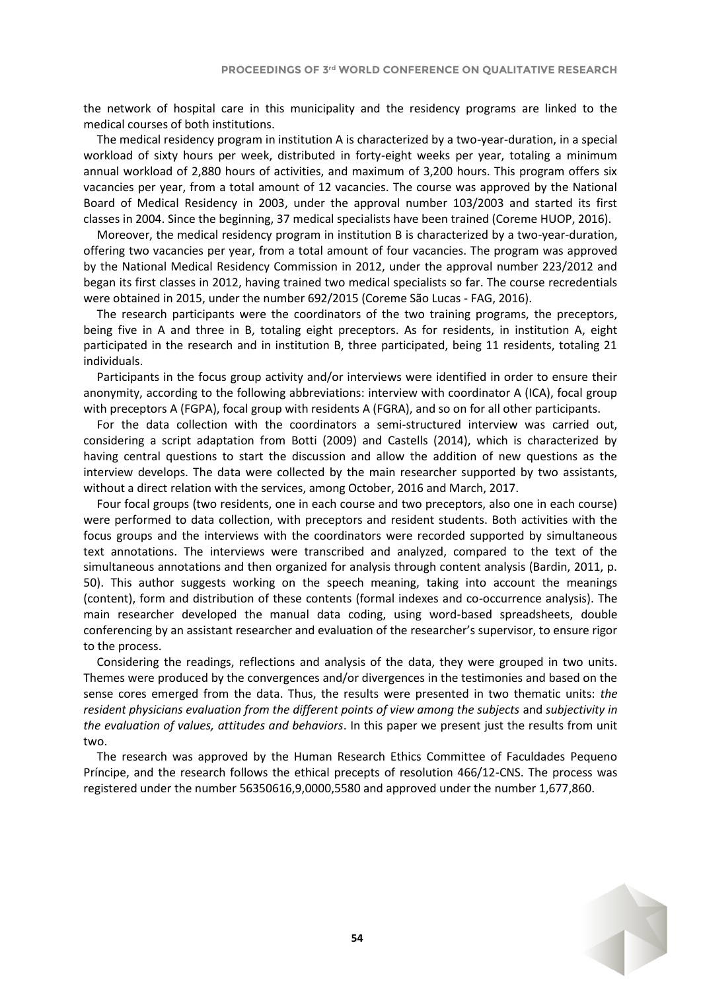the network of hospital care in this municipality and the residency programs are linked to the medical courses of both institutions.

The medical residency program in institution A is characterized by a two-year-duration, in a special workload of sixty hours per week, distributed in forty-eight weeks per year, totaling a minimum annual workload of 2,880 hours of activities, and maximum of 3,200 hours. This program offers six vacancies per year, from a total amount of 12 vacancies. The course was approved by the National Board of Medical Residency in 2003, under the approval number 103/2003 and started its first classes in 2004. Since the beginning, 37 medical specialists have been trained (Coreme HUOP, 2016).

Moreover, the medical residency program in institution B is characterized by a two-year-duration, offering two vacancies per year, from a total amount of four vacancies. The program was approved by the National Medical Residency Commission in 2012, under the approval number 223/2012 and began its first classes in 2012, having trained two medical specialists so far. The course recredentials were obtained in 2015, under the number 692/2015 (Coreme São Lucas - FAG, 2016).

The research participants were the coordinators of the two training programs, the preceptors, being five in A and three in B, totaling eight preceptors. As for residents, in institution A, eight participated in the research and in institution B, three participated, being 11 residents, totaling 21 individuals.

Participants in the focus group activity and/or interviews were identified in order to ensure their anonymity, according to the following abbreviations: interview with coordinator A (ICA), focal group with preceptors A (FGPA), focal group with residents A (FGRA), and so on for all other participants.

For the data collection with the coordinators a semi-structured interview was carried out, considering a script adaptation from Botti (2009) and Castells (2014), which is characterized by having central questions to start the discussion and allow the addition of new questions as the interview develops. The data were collected by the main researcher supported by two assistants, without a direct relation with the services, among October, 2016 and March, 2017.

Four focal groups (two residents, one in each course and two preceptors, also one in each course) were performed to data collection, with preceptors and resident students. Both activities with the focus groups and the interviews with the coordinators were recorded supported by simultaneous text annotations. The interviews were transcribed and analyzed, compared to the text of the simultaneous annotations and then organized for analysis through content analysis (Bardin, 2011, p. 50). This author suggests working on the speech meaning, taking into account the meanings (content), form and distribution of these contents (formal indexes and co-occurrence analysis). The main researcher developed the manual data coding, using word-based spreadsheets, double conferencing by an assistant researcher and evaluation of the researcher's supervisor, to ensure rigor to the process.

Considering the readings, reflections and analysis of the data, they were grouped in two units. Themes were produced by the convergences and/or divergences in the testimonies and based on the sense cores emerged from the data. Thus, the results were presented in two thematic units: *the resident physicians evaluation from the different points of view among the subjects* and *subjectivity in the evaluation of values, attitudes and behaviors*. In this paper we present just the results from unit two.

The research was approved by the Human Research Ethics Committee of Faculdades Pequeno Príncipe, and the research follows the ethical precepts of resolution 466/12-CNS. The process was registered under the number 56350616,9,0000,5580 and approved under the number 1,677,860.

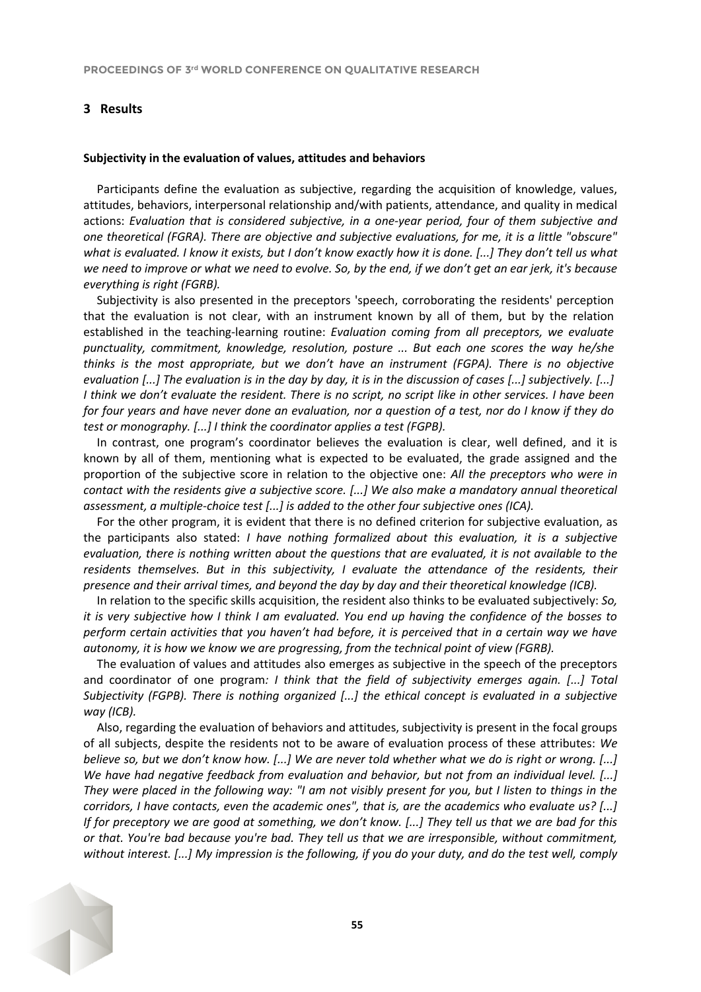# **3 Results**

#### **Subjectivity in the evaluation of values, attitudes and behaviors**

Participants define the evaluation as subjective, regarding the acquisition of knowledge, values, attitudes, behaviors, interpersonal relationship and/with patients, attendance, and quality in medical actions: *Evaluation that is considered subjective, in a one-year period, four of them subjective and one theoretical (FGRA). There are objective and subjective evaluations, for me, it is a little "obscure" what is evaluated. I know it exists, but I don't know exactly how it is done. [...] They don't tell us what we need to improve or what we need to evolve. So, by the end, if we don't get an ear jerk, it's because everything is right (FGRB).*

Subjectivity is also presented in the preceptors 'speech, corroborating the residents' perception that the evaluation is not clear, with an instrument known by all of them, but by the relation established in the teaching-learning routine: *Evaluation coming from all preceptors, we evaluate punctuality, commitment, knowledge, resolution, posture ... But each one scores the way he/she thinks is the most appropriate, but we don't have an instrument (FGPA). There is no objective evaluation [...] The evaluation is in the day by day, it is in the discussion of cases [...] subjectively. [...] I think we don't evaluate the resident. There is no script, no script like in other services. I have been for four years and have never done an evaluation, nor a question of a test, nor do I know if they do test or monography. [...] I think the coordinator applies a test (FGPB).*

In contrast, one program's coordinator believes the evaluation is clear, well defined, and it is known by all of them, mentioning what is expected to be evaluated, the grade assigned and the proportion of the subjective score in relation to the objective one: *All the preceptors who were in contact with the residents give a subjective score. [...] We also make a mandatory annual theoretical assessment, a multiple-choice test [...] is added to the other four subjective ones (ICA).*

For the other program, it is evident that there is no defined criterion for subjective evaluation, as the participants also stated: *I have nothing formalized about this evaluation, it is a subjective evaluation, there is nothing written about the questions that are evaluated, it is not available to the residents themselves. But in this subjectivity, I evaluate the attendance of the residents, their presence and their arrival times, and beyond the day by day and their theoretical knowledge (ICB).*

In relation to the specific skills acquisition, the resident also thinks to be evaluated subjectively: *So, it is very subjective how I think I am evaluated. You end up having the confidence of the bosses to perform certain activities that you haven't had before, it is perceived that in a certain way we have autonomy, it is how we know we are progressing, from the technical point of view (FGRB).*

The evaluation of values and attitudes also emerges as subjective in the speech of the preceptors and coordinator of one program*: I think that the field of subjectivity emerges again. [...] Total Subjectivity (FGPB). There is nothing organized [...] the ethical concept is evaluated in a subjective way (ICB).*

Also, regarding the evaluation of behaviors and attitudes, subjectivity is present in the focal groups of all subjects, despite the residents not to be aware of evaluation process of these attributes: *We believe so, but we don't know how. [...] We are never told whether what we do is right or wrong. [...] We have had negative feedback from evaluation and behavior, but not from an individual level. [...] They were placed in the following way: "I am not visibly present for you, but I listen to things in the corridors, I have contacts, even the academic ones", that is, are the academics who evaluate us? [...] If for preceptory we are good at something, we don't know. [...] They tell us that we are bad for this or that. You're bad because you're bad. They tell us that we are irresponsible, without commitment, without interest. [...] My impression is the following, if you do your duty, and do the test well, comply* 

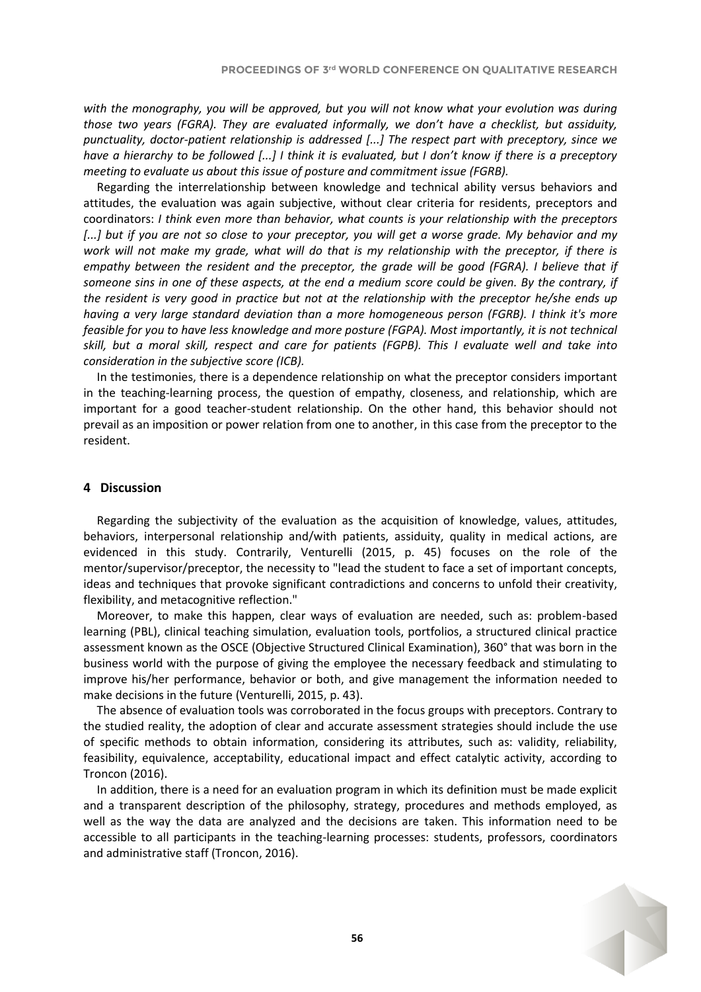*with the monography, you will be approved, but you will not know what your evolution was during those two years (FGRA). They are evaluated informally, we don't have a checklist, but assiduity, punctuality, doctor-patient relationship is addressed [...] The respect part with preceptory, since we have a hierarchy to be followed [...] I think it is evaluated, but I don't know if there is a preceptory meeting to evaluate us about this issue of posture and commitment issue (FGRB).*

Regarding the interrelationship between knowledge and technical ability versus behaviors and attitudes, the evaluation was again subjective, without clear criteria for residents, preceptors and coordinators: *I think even more than behavior, what counts is your relationship with the preceptors [...] but if you are not so close to your preceptor, you will get a worse grade. My behavior and my work will not make my grade, what will do that is my relationship with the preceptor, if there is empathy between the resident and the preceptor, the grade will be good (FGRA). I believe that if someone sins in one of these aspects, at the end a medium score could be given. By the contrary, if the resident is very good in practice but not at the relationship with the preceptor he/she ends up having a very large standard deviation than a more homogeneous person (FGRB). I think it's more feasible for you to have less knowledge and more posture (FGPA). Most importantly, it is not technical skill, but a moral skill, respect and care for patients (FGPB). This I evaluate well and take into consideration in the subjective score (ICB).*

In the testimonies, there is a dependence relationship on what the preceptor considers important in the teaching-learning process, the question of empathy, closeness, and relationship, which are important for a good teacher-student relationship. On the other hand, this behavior should not prevail as an imposition or power relation from one to another, in this case from the preceptor to the resident.

## **4 Discussion**

Regarding the subjectivity of the evaluation as the acquisition of knowledge, values, attitudes, behaviors, interpersonal relationship and/with patients, assiduity, quality in medical actions, are evidenced in this study. Contrarily, Venturelli (2015, p. 45) focuses on the role of the mentor/supervisor/preceptor, the necessity to "lead the student to face a set of important concepts, ideas and techniques that provoke significant contradictions and concerns to unfold their creativity, flexibility, and metacognitive reflection."

Moreover, to make this happen, clear ways of evaluation are needed, such as: problem-based learning (PBL), clinical teaching simulation, evaluation tools, portfolios, a structured clinical practice assessment known as the OSCE (Objective Structured Clinical Examination), 360° that was born in the business world with the purpose of giving the employee the necessary feedback and stimulating to improve his/her performance, behavior or both, and give management the information needed to make decisions in the future (Venturelli, 2015, p. 43).

The absence of evaluation tools was corroborated in the focus groups with preceptors. Contrary to the studied reality, the adoption of clear and accurate assessment strategies should include the use of specific methods to obtain information, considering its attributes, such as: validity, reliability, feasibility, equivalence, acceptability, educational impact and effect catalytic activity, according to Troncon (2016).

In addition, there is a need for an evaluation program in which its definition must be made explicit and a transparent description of the philosophy, strategy, procedures and methods employed, as well as the way the data are analyzed and the decisions are taken. This information need to be accessible to all participants in the teaching-learning processes: students, professors, coordinators and administrative staff (Troncon, 2016).

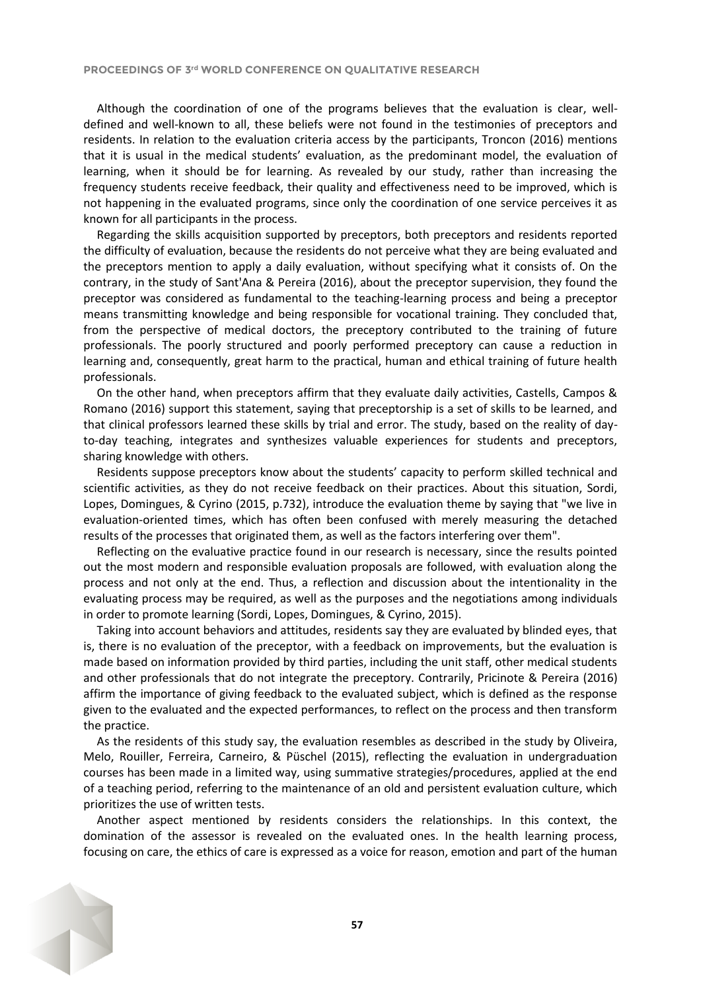Although the coordination of one of the programs believes that the evaluation is clear, welldefined and well-known to all, these beliefs were not found in the testimonies of preceptors and residents. In relation to the evaluation criteria access by the participants, Troncon (2016) mentions that it is usual in the medical students' evaluation, as the predominant model, the evaluation of learning, when it should be for learning. As revealed by our study, rather than increasing the frequency students receive feedback, their quality and effectiveness need to be improved, which is not happening in the evaluated programs, since only the coordination of one service perceives it as known for all participants in the process.

Regarding the skills acquisition supported by preceptors, both preceptors and residents reported the difficulty of evaluation, because the residents do not perceive what they are being evaluated and the preceptors mention to apply a daily evaluation, without specifying what it consists of. On the contrary, in the study of Sant'Ana & Pereira (2016), about the preceptor supervision, they found the preceptor was considered as fundamental to the teaching-learning process and being a preceptor means transmitting knowledge and being responsible for vocational training. They concluded that, from the perspective of medical doctors, the preceptory contributed to the training of future professionals. The poorly structured and poorly performed preceptory can cause a reduction in learning and, consequently, great harm to the practical, human and ethical training of future health professionals.

On the other hand, when preceptors affirm that they evaluate daily activities, Castells, Campos & Romano (2016) support this statement, saying that preceptorship is a set of skills to be learned, and that clinical professors learned these skills by trial and error. The study, based on the reality of dayto-day teaching, integrates and synthesizes valuable experiences for students and preceptors, sharing knowledge with others.

Residents suppose preceptors know about the students' capacity to perform skilled technical and scientific activities, as they do not receive feedback on their practices. About this situation, Sordi, Lopes, Domingues, & Cyrino (2015, p.732), introduce the evaluation theme by saying that "we live in evaluation-oriented times, which has often been confused with merely measuring the detached results of the processes that originated them, as well as the factors interfering over them".

Reflecting on the evaluative practice found in our research is necessary, since the results pointed out the most modern and responsible evaluation proposals are followed, with evaluation along the process and not only at the end. Thus, a reflection and discussion about the intentionality in the evaluating process may be required, as well as the purposes and the negotiations among individuals in order to promote learning (Sordi, Lopes, Domingues, & Cyrino, 2015).

Taking into account behaviors and attitudes, residents say they are evaluated by blinded eyes, that is, there is no evaluation of the preceptor, with a feedback on improvements, but the evaluation is made based on information provided by third parties, including the unit staff, other medical students and other professionals that do not integrate the preceptory. Contrarily, Pricinote & Pereira (2016) affirm the importance of giving feedback to the evaluated subject, which is defined as the response given to the evaluated and the expected performances, to reflect on the process and then transform the practice.

As the residents of this study say, the evaluation resembles as described in the study by Oliveira, Melo, Rouiller, Ferreira, Carneiro, & Püschel (2015), reflecting the evaluation in undergraduation courses has been made in a limited way, using summative strategies/procedures, applied at the end of a teaching period, referring to the maintenance of an old and persistent evaluation culture, which prioritizes the use of written tests.

Another aspect mentioned by residents considers the relationships. In this context, the domination of the assessor is revealed on the evaluated ones. In the health learning process, focusing on care, the ethics of care is expressed as a voice for reason, emotion and part of the human

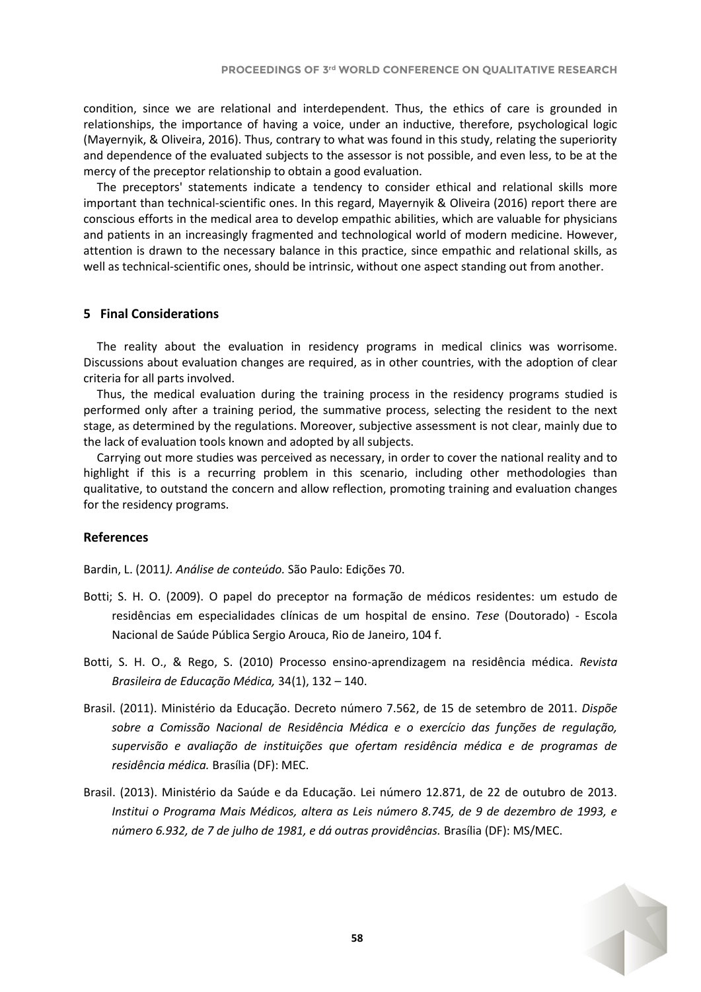condition, since we are relational and interdependent. Thus, the ethics of care is grounded in relationships, the importance of having a voice, under an inductive, therefore, psychological logic (Mayernyik, & Oliveira, 2016). Thus, contrary to what was found in this study, relating the superiority and dependence of the evaluated subjects to the assessor is not possible, and even less, to be at the mercy of the preceptor relationship to obtain a good evaluation.

The preceptors' statements indicate a tendency to consider ethical and relational skills more important than technical-scientific ones. In this regard, Mayernyik & Oliveira (2016) report there are conscious efforts in the medical area to develop empathic abilities, which are valuable for physicians and patients in an increasingly fragmented and technological world of modern medicine. However, attention is drawn to the necessary balance in this practice, since empathic and relational skills, as well as technical-scientific ones, should be intrinsic, without one aspect standing out from another.

## **5 Final Considerations**

The reality about the evaluation in residency programs in medical clinics was worrisome. Discussions about evaluation changes are required, as in other countries, with the adoption of clear criteria for all parts involved.

Thus, the medical evaluation during the training process in the residency programs studied is performed only after a training period, the summative process, selecting the resident to the next stage, as determined by the regulations. Moreover, subjective assessment is not clear, mainly due to the lack of evaluation tools known and adopted by all subjects.

Carrying out more studies was perceived as necessary, in order to cover the national reality and to highlight if this is a recurring problem in this scenario, including other methodologies than qualitative, to outstand the concern and allow reflection, promoting training and evaluation changes for the residency programs.

# **References**

Bardin, L. (2011*). Análise de conteúdo.* São Paulo: Edições 70.

- Botti; S. H. O. (2009). O papel do preceptor na formação de médicos residentes: um estudo de residências em especialidades clínicas de um hospital de ensino. *Tese* (Doutorado) - Escola Nacional de Saúde Pública Sergio Arouca, Rio de Janeiro, 104 f.
- Botti, S. H. O., & Rego, S. (2010) Processo ensino-aprendizagem na residência médica. *Revista Brasileira de Educação Médica,* 34(1), 132 – 140.
- Brasil. (2011). Ministério da Educação. Decreto número 7.562, de 15 de setembro de 2011. *Dispõe sobre a Comissão Nacional de Residência Médica e o exercício das funções de regulação, supervisão e avaliação de instituições que ofertam residência médica e de programas de residência médica.* Brasília (DF): MEC.
- Brasil. (2013). Ministério da Saúde e da Educação. Lei número 12.871, de 22 de outubro de 2013. *Institui o Programa Mais Médicos, altera as Leis número 8.745, de 9 de dezembro de 1993, e número 6.932, de 7 de julho de 1981, e dá outras providências.* Brasília (DF): MS/MEC.

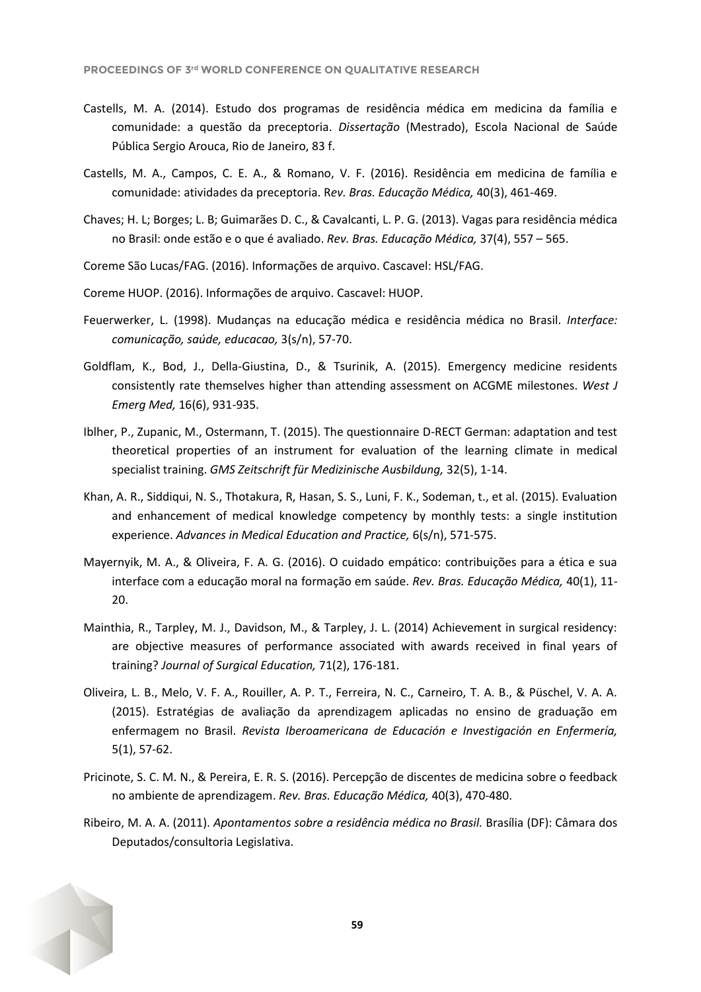- Castells, M. A. (2014). Estudo dos programas de residência médica em medicina da família e comunidade: a questão da preceptoria. *Dissertação* (Mestrado), Escola Nacional de Saúde Pública Sergio Arouca, Rio de Janeiro, 83 f.
- Castells, M. A., Campos, C. E. A., & Romano, V. F. (2016). Residência em medicina de família e comunidade: atividades da preceptoria. R*ev. Bras. Educação Médica,* 40(3), 461-469.
- Chaves; H. L; Borges; L. B; Guimarães D. C., & Cavalcanti, L. P. G. (2013). Vagas para residência médica no Brasil: onde estão e o que é avaliado. *Rev. Bras. Educação Médica,* 37(4), 557 – 565.
- Coreme São Lucas/FAG. (2016). Informações de arquivo. Cascavel: HSL/FAG.
- Coreme HUOP. (2016). Informações de arquivo. Cascavel: HUOP.
- Feuerwerker, L. (1998). Mudanças na educação médica e residência médica no Brasil. *Interface: comunicação, saúde, educacao,* 3(s/n), 57-70.
- Goldflam, K., Bod, J., Della-Giustina, D., & Tsurinik, A. (2015). Emergency medicine residents consistently rate themselves higher than attending assessment on ACGME milestones. *West J Emerg Med,* 16(6), 931-935.
- Iblher, P., Zupanic, M., Ostermann, T. (2015). The questionnaire D-RECT German: adaptation and test theoretical properties of an instrument for evaluation of the learning climate in medical specialist training. *GMS Zeitschrift für Medizinische Ausbildung,* 32(5), 1-14.
- Khan, A. R., Siddiqui, N. S., Thotakura, R, Hasan, S. S., Luni, F. K., Sodeman, t., et al. (2015). Evaluation and enhancement of medical knowledge competency by monthly tests: a single institution experience. *Advances in Medical Education and Practice,* 6(s/n), 571-575.
- Mayernyik, M. A., & Oliveira, F. A. G. (2016). O cuidado empático: contribuições para a ética e sua interface com a educação moral na formação em saúde. *Rev. Bras. Educação Médica,* 40(1), 11- 20.
- Mainthia, R., Tarpley, M. J., Davidson, M., & Tarpley, J. L. (2014) Achievement in surgical residency: are objective measures of performance associated with awards received in final years of training? *Journal of Surgical Education,* 71(2), 176-181.
- Oliveira, L. B., Melo, V. F. A., Rouiller, A. P. T., Ferreira, N. C., Carneiro, T. A. B., & Püschel, V. A. A. (2015). Estratégias de avaliação da aprendizagem aplicadas no ensino de graduação em enfermagem no Brasil. *Revista Iberoamericana de Educación e Investigación en Enfermería,* 5(1), 57-62.
- Pricinote, S. C. M. N., & Pereira, E. R. S. (2016). Percepção de discentes de medicina sobre o feedback no ambiente de aprendizagem. *Rev. Bras. Educação Médica,* 40(3), 470-480.
- Ribeiro, M. A. A. (2011). *Apontamentos sobre a residência médica no Brasil.* Brasília (DF): Câmara dos Deputados/consultoria Legislativa.